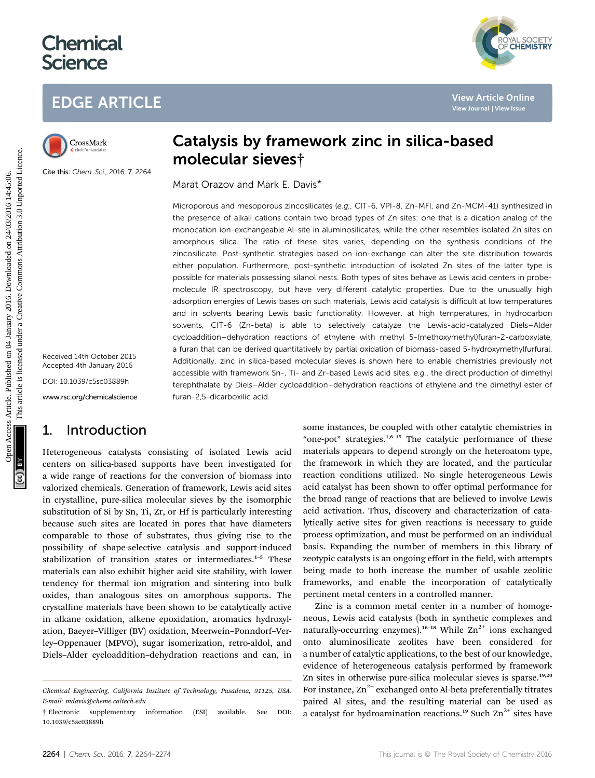# **Chemical Science**

# EDGE ARTICLE



Cite this: Chem. Sci., 2016, <sup>7</sup>, 2264

Received 14th October 2015 Accepted 4th January 2016

DOI: 10.1039/c5sc03889h

www.rsc.org/chemicalscience

## 1. Introduction

Heterogeneous catalysts consisting of isolated Lewis acid centers on silica-based supports have been investigated for a wide range of reactions for the conversion of biomass into valorized chemicals. Generation of framework, Lewis acid sites in crystalline, pure-silica molecular sieves by the isomorphic substitution of Si by Sn, Ti, Zr, or Hf is particularly interesting because such sites are located in pores that have diameters comparable to those of substrates, thus giving rise to the possibility of shape-selective catalysis and support-induced stabilization of transition states or intermediates.<sup>1-5</sup> These materials can also exhibit higher acid site stability, with lower tendency for thermal ion migration and sintering into bulk oxides, than analogous sites on amorphous supports. The crystalline materials have been shown to be catalytically active in alkane oxidation, alkene epoxidation, aromatics hydroxylation, Baeyer–Villiger (BV) oxidation, Meerwein–Ponndorf–Verley–Oppenauer (MPVO), sugar isomerization, retro-aldol, and Diels–Alder cycloaddition–dehydration reactions and can, in

## Catalysis by framework zinc in silica-based molecular sieves†

Marat Orazov and Mark E. Davis\*

Microporous and mesoporous zincosilicates (e.g., CIT-6, VPI-8, Zn-MFI, and Zn-MCM-41) synthesized in the presence of alkali cations contain two broad types of Zn sites: one that is a dication analog of the monocation ion-exchangeable Al-site in aluminosilicates, while the other resembles isolated Zn sites on amorphous silica. The ratio of these sites varies, depending on the synthesis conditions of the zincosilicate. Post-synthetic strategies based on ion-exchange can alter the site distribution towards either population. Furthermore, post-synthetic introduction of isolated Zn sites of the latter type is possible for materials possessing silanol nests. Both types of sites behave as Lewis acid centers in probemolecule IR spectroscopy, but have very different catalytic properties. Due to the unusually high adsorption energies of Lewis bases on such materials, Lewis acid catalysis is difficult at low temperatures and in solvents bearing Lewis basic functionality. However, at high temperatures, in hydrocarbon solvents, CIT-6 (Zn-beta) is able to selectively catalyze the Lewis-acid-catalyzed Diels–Alder cycloaddition–dehydration reactions of ethylene with methyl 5-(methoxymethyl)furan-2-carboxylate, a furan that can be derived quantitatively by partial oxidation of biomass-based 5-hydroxymethylfurfural. Additionally, zinc in silica-based molecular sieves is shown here to enable chemistries previously not accessible with framework Sn-, Ti- and Zr-based Lewis acid sites, e.g., the direct production of dimethyl terephthalate by Diels–Alder cycloaddition–dehydration reactions of ethylene and the dimethyl ester of furan-2,5-dicarboxilic acid. **EDGE ARTICLE**<br>
Strewbird Colline (View Article Ohline<br>
Mark Catalysis by framework zinc in silica-based<br>
Mark Catavis, 2016<br>
Mark Crazov and Mark E. Davis<br>
Mark Crazov and Mark E. Davis<br>
Mark Crazov and Mark E. Davis<br>
Ma

some instances, be coupled with other catalytic chemistries in "one-pot" strategies.<sup>1,6-15</sup> The catalytic performance of these materials appears to depend strongly on the heteroatom type, the framework in which they are located, and the particular reaction conditions utilized. No single heterogeneous Lewis acid catalyst has been shown to offer optimal performance for the broad range of reactions that are believed to involve Lewis acid activation. Thus, discovery and characterization of catalytically active sites for given reactions is necessary to guide process optimization, and must be performed on an individual basis. Expanding the number of members in this library of zeotypic catalysts is an ongoing effort in the field, with attempts being made to both increase the number of usable zeolitic frameworks, and enable the incorporation of catalytically pertinent metal centers in a controlled manner.

YAL SOCIETY<br>**CHEMISTRY** 

Zinc is a common metal center in a number of homogeneous, Lewis acid catalysts (both in synthetic complexes and naturally-occurring enzymes).<sup>16–18</sup> While  $\text{Zn}^{2+}$  ions exchanged onto aluminosilicate zeolites have been considered for a number of catalytic applications, to the best of our knowledge, evidence of heterogeneous catalysis performed by framework Zn sites in otherwise pure-silica molecular sieves is sparse.<sup>19,20</sup> For instance,  $\text{Zn}^{2+}$  exchanged onto Al-beta preferentially titrates paired Al sites, and the resulting material can be used as a catalyst for hydroamination reactions.<sup>19</sup> Such  $\text{Zn}^{2+}$  sites have

Chemical Engineering, California Institute of Technology, Pasadena, 91125, USA. E-mail: mdavis@cheme.caltech.edu

<sup>†</sup> Electronic supplementary information (ESI) available. See DOI: 10.1039/c5sc03889h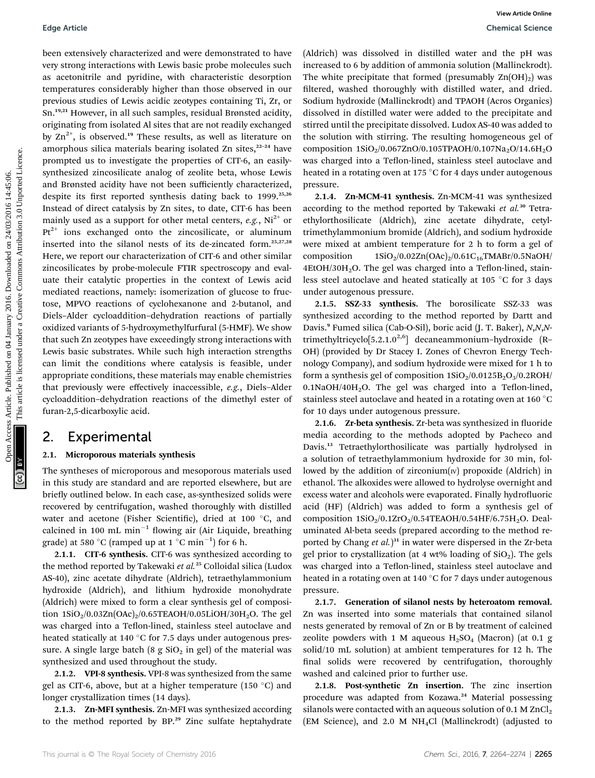been extensively characterized and were demonstrated to have very strong interactions with Lewis basic probe molecules such as acetonitrile and pyridine, with characteristic desorption temperatures considerably higher than those observed in our previous studies of Lewis acidic zeotypes containing Ti, Zr, or Sn.19,21 However, in all such samples, residual Brønsted acidity, originating from isolated Al sites that are not readily exchanged by  $\text{Zn}^{2+}$ , is observed.<sup>19</sup> These results, as well as literature on amorphous silica materials bearing isolated Zn sites, $22-24$  have prompted us to investigate the properties of CIT-6, an easilysynthesized zincosilicate analog of zeolite beta, whose Lewis and Brønsted acidity have not been sufficiently characterized, despite its first reported synthesis dating back to  $1999.^{25,26}$ Instead of direct catalysis by Zn sites, to date, CIT-6 has been mainly used as a support for other metal centers, e.g.,  $Ni^{2+}$  or  $Pt^{2+}$  ions exchanged onto the zincosilicate, or aluminum inserted into the silanol nests of its de-zincated form.25,27,28 Here, we report our characterization of CIT-6 and other similar zincosilicates by probe-molecule FTIR spectroscopy and evaluate their catalytic properties in the context of Lewis acid mediated reactions, namely: isomerization of glucose to fructose, MPVO reactions of cyclohexanone and 2-butanol, and Diels–Alder cycloaddition–dehydration reactions of partially oxidized variants of 5-hydroxymethylfurfural (5-HMF). We show that such Zn zeotypes have exceedingly strong interactions with Lewis basic substrates. While such high interaction strengths can limit the conditions where catalysis is feasible, under appropriate conditions, these materials may enable chemistries that previously were effectively inaccessible, e.g., Diels–Alder cycloaddition–dehydration reactions of the dimethyl ester of furan-2,5-dicarboxylic acid. Edge Article<br>
Uncertainty when the constrained to have (Addrehi) was dissolved in distilled water and the properties considerable higher chan these observed in our filtered, which distilled including that complete the sam

## 2. Experimental

#### 2.1. Microporous materials synthesis

The syntheses of microporous and mesoporous materials used in this study are standard and are reported elsewhere, but are briefly outlined below. In each case, as-synthesized solids were recovered by centrifugation, washed thoroughly with distilled water and acetone (Fisher Scientific), dried at 100  $\degree$ C, and calcined in 100 mL min<sup>-1</sup> flowing air (Air Liquide, breathing grade) at 580 °C (ramped up at 1 °C min $^{-1})$  for 6 h.

2.1.1. CIT-6 synthesis. CIT-6 was synthesized according to the method reported by Takewaki et al.<sup>25</sup> Colloidal silica (Ludox AS-40), zinc acetate dihydrate (Aldrich), tetraethylammonium hydroxide (Aldrich), and lithium hydroxide monohydrate (Aldrich) were mixed to form a clear synthesis gel of composition  $1SiO_2/0.03Zn(OAc)_2/0.65TEAOH/0.05LiOH/30H_2O$ . The gel was charged into a Teflon-lined, stainless steel autoclave and heated statically at 140  $\degree$ C for 7.5 days under autogenous pressure. A single large batch (8 g  $SiO<sub>2</sub>$  in gel) of the material was synthesized and used throughout the study.

2.1.2. VPI-8 synthesis. VPI-8 was synthesized from the same gel as CIT-6, above, but at a higher temperature (150 $\degree$ C) and longer crystallization times (14 days).

2.1.3. Zn-MFI synthesis. Zn-MFI was synthesized according to the method reported by BP.<sup>29</sup> Zinc sulfate heptahydrate

(Aldrich) was dissolved in distilled water and the pH was increased to 6 by addition of ammonia solution (Mallinckrodt). The white precipitate that formed (presumably  $\text{Zn}(\text{OH})_2$ ) was filtered, washed thoroughly with distilled water, and dried. Sodium hydroxide (Mallinckrodt) and TPAOH (Acros Organics) dissolved in distilled water were added to the precipitate and stirred until the precipitate dissolved. Ludox AS-40 was added to the solution with stirring. The resulting homogeneous gel of composition  $1SiO<sub>2</sub>/0.067ZnO/0.105TPAOH/0.107Na<sub>2</sub>O/14.6H<sub>2</sub>O$ was charged into a Teflon-lined, stainless steel autoclave and heated in a rotating oven at 175  $\degree$ C for 4 days under autogenous pressure.

2.1.4. Zn-MCM-41 synthesis. Zn-MCM-41 was synthesized according to the method reported by Takewaki et al.<sup>30</sup> Tetraethylorthosilicate (Aldrich), zinc acetate dihydrate, cetyltrimethylammonium bromide (Aldrich), and sodium hydroxide were mixed at ambient temperature for 2 h to form a gel of composition  $1\text{SiO}_2/0.02\text{Zn}(\text{OAc})_2/0.61\text{C}_{16}\text{T} \text{MABr}/0.5\text{NaOH}/$  $4EtOH/30H<sub>2</sub>O$ . The gel was charged into a Teflon-lined, stainless steel autoclave and heated statically at 105 °C for 3 days under autogenous pressure.

2.1.5. SSZ-33 synthesis. The borosilicate SSZ-33 was synthesized according to the method reported by Dartt and Davis.<sup>9</sup> Fumed silica (Cab-O-Sil), boric acid (J. T. Baker), N,N,Ntrimethyltricyclo[5.2.1.0<sup>2,6</sup>] decaneammonium-hydroxide (R-OH) (provided by Dr Stacey I. Zones of Chevron Energy Technology Company), and sodium hydroxide were mixed for 1 h to form a synthesis gel of composition  $1SiO_2/0.0125B_2O_3/0.2ROH/$  $0.1$ NaOH/40H<sub>2</sub>O. The gel was charged into a Teflon-lined, stainless steel autoclave and heated in a rotating oven at 160  $\mathrm{^{\circ}C}$ for 10 days under autogenous pressure.

2.1.6. Zr-beta synthesis. Zr-beta was synthesized in fluoride media according to the methods adopted by Pacheco and Davis.<sup>13</sup> Tetraethylorthosilicate was partially hydrolysed in a solution of tetraethylammonium hydroxide for 30 min, followed by the addition of zirconium $(w)$  propoxide (Aldrich) in ethanol. The alkoxides were allowed to hydrolyse overnight and excess water and alcohols were evaporated. Finally hydrofluoric acid (HF) (Aldrich) was added to form a synthesis gel of composition  $1SiO_2/0.1ZrO_2/0.54TEAOH/0.54HF/6.75H_2O$ . Dealuminated Al-beta seeds (prepared according to the method reported by Chang et al.)<sup>31</sup> in water were dispersed in the Zr-beta gel prior to crystallization (at 4 wt% loading of  $SiO<sub>2</sub>$ ). The gels was charged into a Teflon-lined, stainless steel autoclave and heated in a rotating oven at 140 $\degree$ C for 7 days under autogenous pressure.

2.1.7. Generation of silanol nests by heteroatom removal. Zn was inserted into some materials that contained silanol nests generated by removal of Zn or B by treatment of calcined zeolite powders with 1 M aqueous  $H_2SO_4$  (Macron) (at 0.1 g solid/10 mL solution) at ambient temperatures for 12 h. The final solids were recovered by centrifugation, thoroughly washed and calcined prior to further use.

2.1.8. Post-synthetic Zn insertion. The zinc insertion procedure was adapted from Kozawa.<sup>24</sup> Material possessing silanols were contacted with an aqueous solution of 0.1 M  $ZnCl<sub>2</sub>$ (EM Science), and 2.0 M NH4Cl (Mallinckrodt) (adjusted to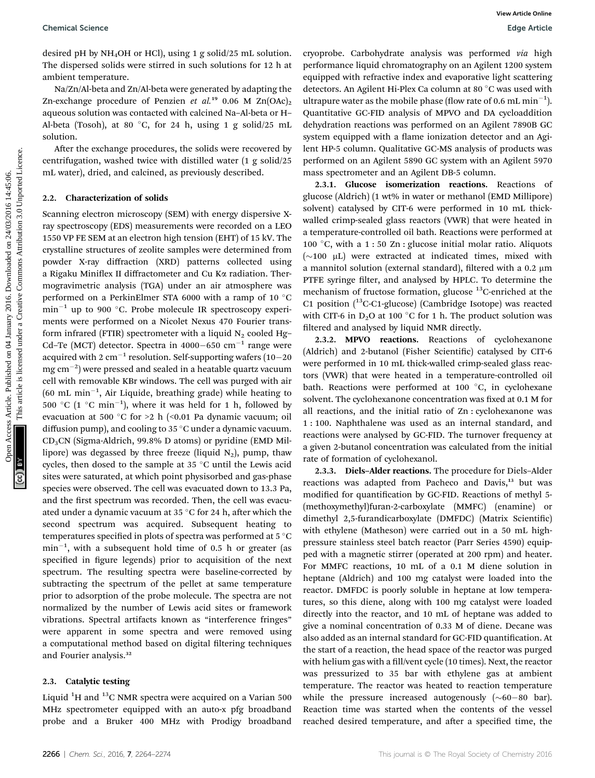desired pH by NH4OH or HCl), using 1 g solid/25 mL solution. The dispersed solids were stirred in such solutions for 12 h at ambient temperature.

Na/Zn/Al-beta and Zn/Al-beta were generated by adapting the Zn-exchange procedure of Penzien et al.<sup>19</sup> 0.06 M Zn(OAc)<sub>2</sub> aqueous solution was contacted with calcined Na–Al-beta or H– Al-beta (Tosoh), at 80 °C, for 24 h, using 1 g solid/25 mL solution.

After the exchange procedures, the solids were recovered by centrifugation, washed twice with distilled water (1 g solid/25 mL water), dried, and calcined, as previously described.

#### 2.2. Characterization of solids

Scanning electron microscopy (SEM) with energy dispersive Xray spectroscopy (EDS) measurements were recorded on a LEO 1550 VP FE SEM at an electron high tension (EHT) of 15 kV. The crystalline structures of zeolite samples were determined from powder X-ray diffraction (XRD) patterns collected using a Rigaku Miniflex II diffractometer and Cu K $\alpha$  radiation. Thermogravimetric analysis (TGA) under an air atmosphere was performed on a PerkinElmer STA 6000 with a ramp of 10  $^{\circ}$ C  $min^{-1}$  up to 900 °C. Probe molecule IR spectroscopy experiments were performed on a Nicolet Nexus 470 Fourier transform infrared (FTIR) spectrometer with a liquid  $N_2$  cooled Hg– Cd–Te (MCT) detector. Spectra in  $4000-650$  cm<sup>-1</sup> range were acquired with 2 cm<sup>-1</sup> resolution. Self-supporting wafers  $(10-20$ mg cm $^{-2})$  were pressed and sealed in a heatable quartz vacuum cell with removable KBr windows. The cell was purged with air  $(60 \text{ mL min}^{-1}$ , Air Liquide, breathing grade) while heating to 500 °C (1 °C min<sup>-1</sup>), where it was held for 1 h, followed by evacuation at 500 °C for >2 h (<0.01 Pa dynamic vacuum; oil diffusion pump), and cooling to 35  $\degree$ C under a dynamic vacuum. CD3CN (Sigma-Aldrich, 99.8% D atoms) or pyridine (EMD Millipore) was degassed by three freeze (liquid  $N_2$ ), pump, thaw cycles, then dosed to the sample at 35  $^{\circ}$ C until the Lewis acid sites were saturated, at which point physisorbed and gas-phase species were observed. The cell was evacuated down to 13.3 Pa, and the first spectrum was recorded. Then, the cell was evacuated under a dynamic vacuum at 35  $\degree$ C for 24 h, after which the second spectrum was acquired. Subsequent heating to temperatures specified in plots of spectra was performed at 5 °C  $\min^{-1}$ , with a subsequent hold time of 0.5 h or greater (as specified in figure legends) prior to acquisition of the next spectrum. The resulting spectra were baseline-corrected by subtracting the spectrum of the pellet at same temperature prior to adsorption of the probe molecule. The spectra are not normalized by the number of Lewis acid sites or framework vibrations. Spectral artifacts known as "interference fringes" were apparent in some spectra and were removed using a computational method based on digital filtering techniques and Fourier analysis.<sup>32</sup> Openical Science<br>
Using the solution is a solution to tail in propries. Carbodynamic seculo are the solution of the solution of the solution of the solution of the solution of the solution of the solution of the solution

#### 2.3. Catalytic testing

Liquid  $^{1}$ H and  $^{13}$ C NMR spectra were acquired on a Varian 500 MHz spectrometer equipped with an auto-x pfg broadband probe and a Bruker 400 MHz with Prodigy broadband cryoprobe. Carbohydrate analysis was performed via high performance liquid chromatography on an Agilent 1200 system equipped with refractive index and evaporative light scattering detectors. An Agilent Hi-Plex Ca column at 80 °C was used with ultrapure water as the mobile phase (flow rate of 0.6 mL  $\mathrm{min}^{-1}$ ). Quantitative GC-FID analysis of MPVO and DA cycloaddition dehydration reactions was performed on an Agilent 7890B GC system equipped with a flame ionization detector and an Agilent HP-5 column. Qualitative GC-MS analysis of products was performed on an Agilent 5890 GC system with an Agilent 5970 mass spectrometer and an Agilent DB-5 column.

2.3.1. Glucose isomerization reactions. Reactions of glucose (Aldrich) (1 wt% in water or methanol (EMD Millipore) solvent) catalysed by CIT-6 were performed in 10 mL thickwalled crimp-sealed glass reactors (VWR) that were heated in a temperature-controlled oil bath. Reactions were performed at 100 °C, with a 1 : 50 Zn : glucose initial molar ratio. Aliquots  $(\sim 100 \mu L)$  were extracted at indicated times, mixed with a mannitol solution (external standard), filtered with a  $0.2 \mu m$ PTFE syringe filter, and analysed by HPLC. To determine the mechanism of fructose formation, glucose <sup>13</sup>C-enriched at the C1 position  $(^{13}C-C1$ -glucose) (Cambridge Isotope) was reacted with CIT-6 in  $D_2O$  at 100 °C for 1 h. The product solution was filtered and analysed by liquid NMR directly.

2.3.2. MPVO reactions. Reactions of cyclohexanone (Aldrich) and 2-butanol (Fisher Scientific) catalysed by CIT-6 were performed in 10 mL thick-walled crimp-sealed glass reactors (VWR) that were heated in a temperature-controlled oil bath. Reactions were performed at 100 $\degree$ C, in cyclohexane solvent. The cyclohexanone concentration was fixed at 0.1 M for all reactions, and the initial ratio of Zn : cyclohexanone was 1 : 100. Naphthalene was used as an internal standard, and reactions were analysed by GC-FID. The turnover frequency at a given 2-butanol concentration was calculated from the initial rate of formation of cyclohexanol.

2.3.3. Diels–Alder reactions. The procedure for Diels–Alder reactions was adapted from Pacheco and Davis,<sup>13</sup> but was modified for quantification by GC-FID. Reactions of methyl 5-(methoxymethyl)furan-2-carboxylate (MMFC) (enamine) or dimethyl 2,5-furandicarboxylate (DMFDC) (Matrix Scientific) with ethylene (Matheson) were carried out in a 50 mL highpressure stainless steel batch reactor (Parr Series 4590) equipped with a magnetic stirrer (operated at 200 rpm) and heater. For MMFC reactions, 10 mL of a 0.1 M diene solution in heptane (Aldrich) and 100 mg catalyst were loaded into the reactor. DMFDC is poorly soluble in heptane at low temperatures, so this diene, along with 100 mg catalyst were loaded directly into the reactor, and 10 mL of heptane was added to give a nominal concentration of 0.33 M of diene. Decane was also added as an internal standard for GC-FID quantification. At the start of a reaction, the head space of the reactor was purged with helium gas with a fill/vent cycle (10 times). Next, the reactor was pressurized to 35 bar with ethylene gas at ambient temperature. The reactor was heated to reaction temperature while the pressure increased autogenously  $(\sim 60-80$  bar). Reaction time was started when the contents of the vessel reached desired temperature, and after a specified time, the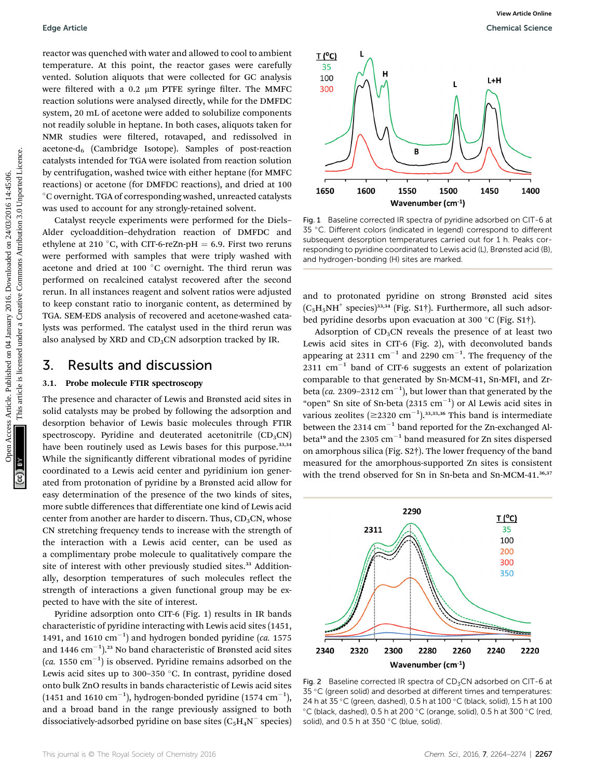reactor was quenched with water and allowed to cool to ambient temperature. At this point, the reactor gases were carefully vented. Solution aliquots that were collected for GC analysis were filtered with a 0.2  $\mu$ m PTFE syringe filter. The MMFC reaction solutions were analysed directly, while for the DMFDC system, 20 mL of acetone were added to solubilize components not readily soluble in heptane. In both cases, aliquots taken for NMR studies were filtered, rotavaped, and redissolved in acetone-d<sub>6</sub> (Cambridge Isotope). Samples of post-reaction catalysts intended for TGA were isolated from reaction solution by centrifugation, washed twice with either heptane (for MMFC reactions) or acetone (for DMFDC reactions), and dried at 100 C overnight. TGA of corresponding washed, unreacted catalysts was used to account for any strongly-retained solvent.

Catalyst recycle experiments were performed for the Diels– Alder cycloaddition–dehydration reaction of DMFDC and ethylene at 210 °C, with CIT-6-reZn-pH = 6.9. First two reruns were performed with samples that were triply washed with acetone and dried at 100 $\degree$ C overnight. The third rerun was performed on recalcined catalyst recovered after the second rerun. In all instances reagent and solvent ratios were adjusted to keep constant ratio to inorganic content, as determined by TGA. SEM-EDS analysis of recovered and acetone-washed catalysts was performed. The catalyst used in the third rerun was also analysed by XRD and CD<sub>3</sub>CN adsorption tracked by IR.

### 3. Results and discussion

#### 3.1. Probe molecule FTIR spectroscopy

The presence and character of Lewis and Brønsted acid sites in solid catalysts may be probed by following the adsorption and desorption behavior of Lewis basic molecules through FTIR spectroscopy. Pyridine and deuterated acetonitrile  $(CD_3CN)$ have been routinely used as Lewis bases for this purpose.<sup>33,34</sup> While the significantly different vibrational modes of pyridine coordinated to a Lewis acid center and pyridinium ion generated from protonation of pyridine by a Brønsted acid allow for easy determination of the presence of the two kinds of sites, more subtle differences that differentiate one kind of Lewis acid center from another are harder to discern. Thus,  $CD_3CN$ , whose CN stretching frequency tends to increase with the strength of the interaction with a Lewis acid center, can be used as a complimentary probe molecule to qualitatively compare the site of interest with other previously studied sites.<sup>33</sup> Additionally, desorption temperatures of such molecules reflect the strength of interactions a given functional group may be expected to have with the site of interest.

Pyridine adsorption onto CIT-6 (Fig. 1) results in IR bands characteristic of pyridine interacting with Lewis acid sites (1451, 1491, and 1610  $\text{cm}^{-1}$ ) and hydrogen bonded pyridine (ca. 1575 and 1446  $\rm cm^{-1}$ ). $^{23}$  No band characteristic of Brønsted acid sites (ca. 1550 cm<sup>-1</sup>) is observed. Pyridine remains adsorbed on the Lewis acid sites up to 300–350  $\degree$ C. In contrast, pyridine dosed onto bulk ZnO results in bands characteristic of Lewis acid sites (1451 and 1610 cm<sup>-1</sup>), hydrogen-bonded pyridine (1574 cm<sup>-1</sup>), and a broad band in the range previously assigned to both dissociatively-adsorbed pyridine on base sites  $(C_5H_4N^-$  species)



Fig. 1 Baseline corrected IR spectra of pyridine adsorbed on CIT-6 at 35 °C. Different colors (indicated in legend) correspond to different subsequent desorption temperatures carried out for 1 h. Peaks corresponding to pyridine coordinated to Lewis acid (L), Brønsted acid (B), and hydrogen-bonding (H) sites are marked.

and to protonated pyridine on strong Brønsted acid sites  $(C_5H_5NH^+$  species)<sup>33,34</sup> (Fig. S1†). Furthermore, all such adsorbed pyridine desorbs upon evacuation at 300 °C (Fig. S1 $\dagger$ ).

Adsorption of  $CD_3CN$  reveals the presence of at least two Lewis acid sites in CIT-6 (Fig. 2), with deconvoluted bands appearing at 2311  $\text{cm}^{-1}$  and 2290  $\text{cm}^{-1}$ . The frequency of the  $2311$   $cm^{-1}$  band of CIT-6 suggests an extent of polarization comparable to that generated by Sn-MCM-41, Sn-MFI, and Zrbeta (ca. 2309–2312  $\text{cm}^{-1}$ ), but lower than that generated by the "open" Sn site of Sn-beta  $(2315 \text{ cm}^{-1})$  or Al Lewis acid sites in various zeolites ( $\geq$ 2320 cm<sup>-1</sup>).<sup>33,35,36</sup> This band is intermediate between the 2314  $cm^{-1}$  band reported for the Zn-exchanged Albeta<sup>19</sup> and the 2305  $cm^{-1}$  band measured for Zn sites dispersed on amorphous silica (Fig. S2†). The lower frequency of the band measured for the amorphous-supported Zn sites is consistent with the trend observed for Sn in Sn-beta and Sn-MCM-41.<sup>36,37</sup>



Fig. 2 Baseline corrected IR spectra of  $CD_3CN$  adsorbed on CIT-6 at 35 °C (green solid) and desorbed at different times and temperatures: 24 h at 35 °C (green, dashed), 0.5 h at 100 °C (black, solid), 1.5 h at 100  $\degree$ C (black, dashed), 0.5 h at 200  $\degree$ C (orange, solid), 0.5 h at 300  $\degree$ C (red, solid), and 0.5 h at 350  $^{\circ}$ C (blue, solid).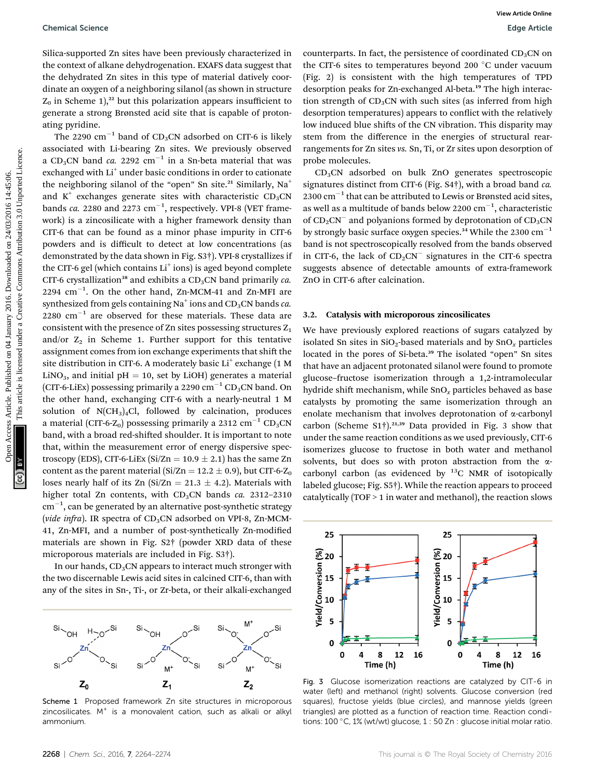Silica-supported Zn sites have been previously characterized in the context of alkane dehydrogenation. EXAFS data suggest that the dehydrated Zn sites in this type of material datively coordinate an oxygen of a neighboring silanol (as shown in structure  $Z_0$  in Scheme 1),<sup>22</sup> but this polarization appears insufficient to generate a strong Brønsted acid site that is capable of protonating pyridine.

The 2290 cm<sup>-1</sup> band of CD<sub>3</sub>CN adsorbed on CIT-6 is likely associated with Li-bearing Zn sites. We previously observed a CD<sub>3</sub>CN band ca. 2292 cm<sup>-1</sup> in a Sn-beta material that was exchanged with Li<sup>+</sup> under basic conditions in order to cationate the neighboring silanol of the "open" Sn site.<sup>21</sup> Similarly,  $Na<sup>+</sup>$ and  $K^+$  exchanges generate sites with characteristic CD<sub>3</sub>CN bands  $ca$ . 2280 and 2273  $cm^{-1}$ , respectively. VPI-8 (VET framework) is a zincosilicate with a higher framework density than CIT-6 that can be found as a minor phase impurity in CIT-6 powders and is difficult to detect at low concentrations (as demonstrated by the data shown in Fig. S3†). VPI-8 crystallizes if the CIT-6 gel (which contains  $Li<sup>+</sup> ions$ ) is aged beyond complete CIT-6 crystallization<sup>38</sup> and exhibits a CD<sub>3</sub>CN band primarily *ca*.  $2294 \text{ cm}^{-1}$ . On the other hand, Zn-MCM-41 and Zn-MFI are synthesized from gels containing  $Na^+$  ions and CD<sub>3</sub>CN bands *ca*.  $2280$  cm<sup>-1</sup> are observed for these materials. These data are consistent with the presence of Zn sites possessing structures  $Z_1$ and/or  $Z_2$  in Scheme 1. Further support for this tentative assignment comes from ion exchange experiments that shift the site distribution in CIT-6. A moderately basic Li<sup>+</sup> exchange (1 M LiNO<sub>3</sub>, and initial pH = 10, set by LiOH) generates a material (CIT-6-LiEx) possessing primarily a 2290  $\text{cm}^{-1}$  CD<sub>3</sub>CN band. On the other hand, exchanging CIT-6 with a nearly-neutral 1 M solution of  $N(CH_3)_4Cl$ , followed by calcination, produces a material (CIT-6-Z<sub>0</sub>) possessing primarily a 2312 cm<sup>-1</sup> CD<sub>3</sub>CN band, with a broad red-shifted shoulder. It is important to note that, within the measurement error of energy dispersive spectroscopy (EDS), CIT-6-LiEx (Si/Zn =  $10.9 \pm 2.1$ ) has the same Zn content as the parent material (Si/Zn =  $12.2 \pm 0.9$ ), but CIT-6-Z<sub>0</sub> loses nearly half of its Zn (Si/Zn = 21.3  $\pm$  4.2). Materials with higher total Zn contents, with  $CD_3CN$  bands ca. 2312-2310  $\rm cm^{-1}$ , can be generated by an alternative post-synthetic strategy (vide infra). IR spectra of  $CD_3CN$  adsorbed on VPI-8, Zn-MCM-41, Zn-MFI, and a number of post-synthetically Zn-modified materials are shown in Fig. S2† (powder XRD data of these microporous materials are included in Fig. S3†). Operation Selence<br>
Silica-supported Zin sites hypothemics. Exhibition and the CTVs of the correlation of the common and the CTVs of the common access Creative Common Common Common Common Common Common Common Capital and t

In our hands,  $CD_3CN$  appears to interact much stronger with the two discernable Lewis acid sites in calcined CIT-6, than with any of the sites in Sn-, Ti-, or Zr-beta, or their alkali-exchanged



Scheme 1 Proposed framework Zn site structures in microporous zincosilicates.  $M^{+}$  is a monovalent cation, such as alkali or alkyl ammonium.

counterparts. In fact, the persistence of coordinated  $CD_3CN$  on the CIT-6 sites to temperatures beyond 200  $^{\circ}$ C under vacuum (Fig. 2) is consistent with the high temperatures of TPD desorption peaks for Zn-exchanged Al-beta.<sup>19</sup> The high interaction strength of  $CD_3CN$  with such sites (as inferred from high desorption temperatures) appears to conflict with the relatively low induced blue shifts of the CN vibration. This disparity may stem from the difference in the energies of structural rearrangements for Zn sites vs. Sn, Ti, or Zr sites upon desorption of probe molecules.

 $CD<sub>3</sub>CN$  adsorbed on bulk ZnO generates spectroscopic signatures distinct from CIT-6 (Fig. S4<sup>†</sup>), with a broad band ca.  $2300 \text{ cm}^{-1}$  that can be attributed to Lewis or Brønsted acid sites, as well as a multitude of bands below 2200  $\rm cm^{-1}$ , characteristic of  $CD_2CN^-$  and polyanions formed by deprotonation of  $CD_3CN$ by strongly basic surface oxygen species.<sup>34</sup> While the 2300  $cm^{-1}$ band is not spectroscopically resolved from the bands observed in CIT-6, the lack of  $CD_2CN^-$  signatures in the CIT-6 spectra suggests absence of detectable amounts of extra-framework ZnO in CIT-6 after calcination.

#### 3.2. Catalysis with microporous zincosilicates

We have previously explored reactions of sugars catalyzed by isolated Sn sites in  $SiO_2$ -based materials and by  $SnO_x$  particles located in the pores of Si-beta.<sup>39</sup> The isolated "open" Sn sites that have an adjacent protonated silanol were found to promote glucose–fructose isomerization through a 1,2-intramolecular hydride shift mechanism, while  $SnO<sub>x</sub>$  particles behaved as base catalysts by promoting the same isomerization through an enolate mechanism that involves deprotonation of  $\alpha$ -carbonyl carbon (Scheme S1 $\dagger$ ).<sup>21,39</sup> Data provided in Fig. 3 show that under the same reaction conditions as we used previously, CIT-6 isomerizes glucose to fructose in both water and methanol solvents, but does so with proton abstraction from the  $\alpha$ carbonyl carbon (as evidenced by  $^{13}$ C NMR of isotopically labeled glucose; Fig. S5†). While the reaction appears to proceed catalytically (TOF > 1 in water and methanol), the reaction slows



Fig. 3 Glucose isomerization reactions are catalyzed by CIT-6 in water (left) and methanol (right) solvents. Glucose conversion (red squares), fructose yields (blue circles), and mannose yields (green triangles) are plotted as a function of reaction time. Reaction conditions: 100 °C, 1% (wt/wt) glucose, 1 : 50 Zn : glucose initial molar ratio.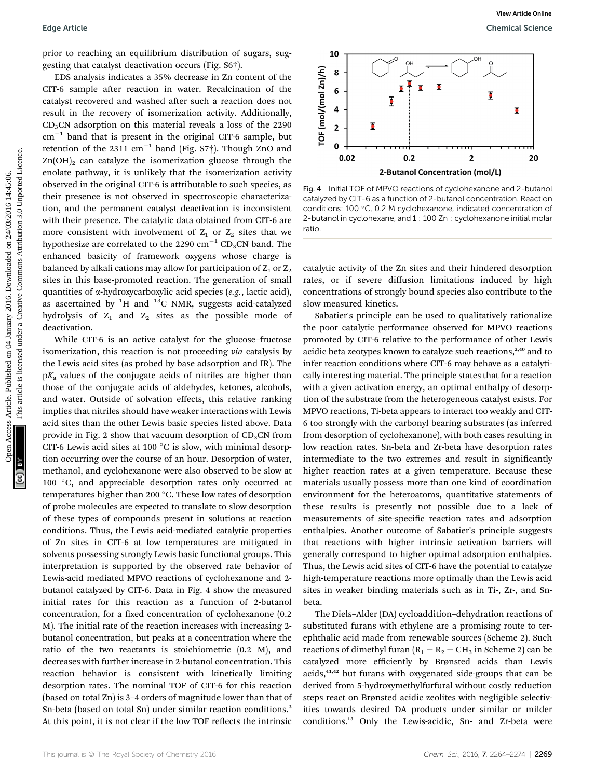prior to reaching an equilibrium distribution of sugars, suggesting that catalyst deactivation occurs (Fig. S6†).

EDS analysis indicates a 35% decrease in Zn content of the CIT-6 sample after reaction in water. Recalcination of the catalyst recovered and washed after such a reaction does not result in the recovery of isomerization activity. Additionally,  $CD<sub>3</sub>CN$  adsorption on this material reveals a loss of the 2290  $cm^{-1}$  band that is present in the original CIT-6 sample, but retention of the 2311  $cm^{-1}$  band (Fig. S7†). Though ZnO and  $Zn(OH)$ <sub>2</sub> can catalyze the isomerization glucose through the enolate pathway, it is unlikely that the isomerization activity observed in the original CIT-6 is attributable to such species, as their presence is not observed in spectroscopic characterization, and the permanent catalyst deactivation is inconsistent with their presence. The catalytic data obtained from CIT-6 are more consistent with involvement of  $Z_1$  or  $Z_2$  sites that we hypothesize are correlated to the 2290  $\text{cm}^{-1}$  CD<sub>3</sub>CN band. The enhanced basicity of framework oxygens whose charge is balanced by alkali cations may allow for participation of  $Z_1$  or  $Z_2$ sites in this base-promoted reaction. The generation of small quantities of  $\alpha$ -hydroxycarboxylic acid species (e.g., lactic acid), as ascertained by  $^{1}H$  and  $^{13}C$  NMR, suggests acid-catalyzed hydrolysis of  $Z_1$  and  $Z_2$  sites as the possible mode of deactivation. Edge Article<br>
published on equality distribution distribution of sugara, say<br>
georg Tow considerable on considerable are not be about the common access are not be about the frequency of isometricity and the second in the

While CIT-6 is an active catalyst for the glucose–fructose isomerization, this reaction is not proceeding via catalysis by the Lewis acid sites (as probed by base adsorption and IR). The  $pK_a$  values of the conjugate acids of nitriles are higher than those of the conjugate acids of aldehydes, ketones, alcohols, and water. Outside of solvation effects, this relative ranking implies that nitriles should have weaker interactions with Lewis acid sites than the other Lewis basic species listed above. Data provide in Fig. 2 show that vacuum desorption of  $CD_3CN$  from CIT-6 Lewis acid sites at 100  $^{\circ}$ C is slow, with minimal desorption occurring over the course of an hour. Desorption of water, methanol, and cyclohexanone were also observed to be slow at 100 $\degree$ C, and appreciable desorption rates only occurred at temperatures higher than 200 $^{\circ}$ C. These low rates of desorption of probe molecules are expected to translate to slow desorption of these types of compounds present in solutions at reaction conditions. Thus, the Lewis acid-mediated catalytic properties of Zn sites in CIT-6 at low temperatures are mitigated in solvents possessing strongly Lewis basic functional groups. This interpretation is supported by the observed rate behavior of Lewis-acid mediated MPVO reactions of cyclohexanone and 2 butanol catalyzed by CIT-6. Data in Fig. 4 show the measured initial rates for this reaction as a function of 2-butanol concentration, for a fixed concentration of cyclohexanone  $(0.2)$ M). The initial rate of the reaction increases with increasing 2 butanol concentration, but peaks at a concentration where the ratio of the two reactants is stoichiometric (0.2 M), and decreases with further increase in 2-butanol concentration. This reaction behavior is consistent with kinetically limiting desorption rates. The nominal TOF of CIT-6 for this reaction (based on total Zn) is 3–4 orders of magnitude lower than that of Sn-beta (based on total Sn) under similar reaction conditions.<sup>3</sup> At this point, it is not clear if the low TOF reflects the intrinsic



Fig. 4 Initial TOF of MPVO reactions of cyclohexanone and 2-butanol catalyzed by CIT-6 as a function of 2-butanol concentration. Reaction conditions: 100 °C, 0.2 M cyclohexanone, indicated concentration of 2-butanol in cyclohexane, and 1 : 100 Zn : cyclohexanone initial molar ratio.

catalytic activity of the Zn sites and their hindered desorption rates, or if severe diffusion limitations induced by high concentrations of strongly bound species also contribute to the slow measured kinetics.

Sabatier's principle can be used to qualitatively rationalize the poor catalytic performance observed for MPVO reactions promoted by CIT-6 relative to the performance of other Lewis acidic beta zeotypes known to catalyze such reactions,<sup>2,40</sup> and to infer reaction conditions where CIT-6 may behave as a catalytically interesting material. The principle states that for a reaction with a given activation energy, an optimal enthalpy of desorption of the substrate from the heterogeneous catalyst exists. For MPVO reactions, Ti-beta appears to interact too weakly and CIT-6 too strongly with the carbonyl bearing substrates (as inferred from desorption of cyclohexanone), with both cases resulting in low reaction rates. Sn-beta and Zr-beta have desorption rates intermediate to the two extremes and result in significantly higher reaction rates at a given temperature. Because these materials usually possess more than one kind of coordination environment for the heteroatoms, quantitative statements of these results is presently not possible due to a lack of measurements of site-specific reaction rates and adsorption enthalpies. Another outcome of Sabatier's principle suggests that reactions with higher intrinsic activation barriers will generally correspond to higher optimal adsorption enthalpies. Thus, the Lewis acid sites of CIT-6 have the potential to catalyze high-temperature reactions more optimally than the Lewis acid sites in weaker binding materials such as in Ti-, Zr-, and Snbeta.

The Diels–Alder (DA) cycloaddition–dehydration reactions of substituted furans with ethylene are a promising route to terephthalic acid made from renewable sources (Scheme 2). Such reactions of dimethyl furan ( $R_1 = R_2 = CH_3$  in Scheme 2) can be catalyzed more efficiently by Brønsted acids than Lewis  $acids$ , $41,42$  but furans with oxygenated side-groups that can be derived from 5-hydroxymethylfurfural without costly reduction steps react on Brønsted acidic zeolites with negligible selectivities towards desired DA products under similar or milder conditions.<sup>13</sup> Only the Lewis-acidic, Sn- and Zr-beta were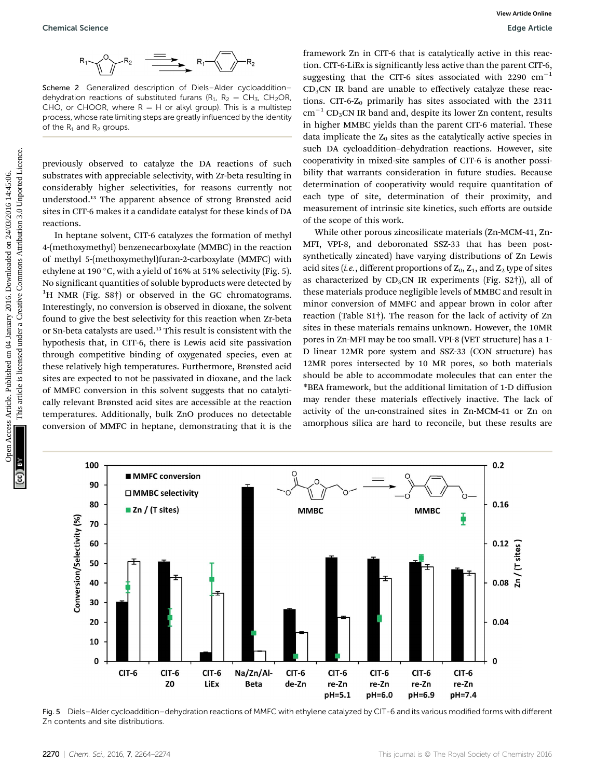

Scheme 2 Generalized description of Diels–Alder cycloaddition– dehydration reactions of substituted furans ( $R_1$ ,  $R_2 = CH_3$ , CH<sub>2</sub>OR, CHO, or CHOOR, where  $R = H$  or alkyl group). This is a multistep process, whose rate limiting steps are greatly influenced by the identity of the  $R_1$  and  $R_2$  groups.

previously observed to catalyze the DA reactions of such substrates with appreciable selectivity, with Zr-beta resulting in considerably higher selectivities, for reasons currently not understood.<sup>13</sup> The apparent absence of strong Brønsted acid sites in CIT-6 makes it a candidate catalyst for these kinds of DA reactions.

In heptane solvent, CIT-6 catalyzes the formation of methyl 4-(methoxymethyl) benzenecarboxylate (MMBC) in the reaction of methyl 5-(methoxymethyl)furan-2-carboxylate (MMFC) with ethylene at 190 °C, with a yield of 16% at 51% selectivity (Fig. 5). No significant quantities of soluble byproducts were detected by <sup>1</sup>H NMR (Fig. S8†) or observed in the GC chromatograms. Interestingly, no conversion is observed in dioxane, the solvent found to give the best selectivity for this reaction when Zr-beta or Sn-beta catalysts are used.<sup>13</sup> This result is consistent with the hypothesis that, in CIT-6, there is Lewis acid site passivation through competitive binding of oxygenated species, even at these relatively high temperatures. Furthermore, Brønsted acid sites are expected to not be passivated in dioxane, and the lack of MMFC conversion in this solvent suggests that no catalytically relevant Brønsted acid sites are accessible at the reaction temperatures. Additionally, bulk ZnO produces no detectable conversion of MMFC in heptane, demonstrating that it is the

framework Zn in CIT-6 that is catalytically active in this reaction. CIT-6-LiEx is significantly less active than the parent CIT-6, suggesting that the CIT-6 sites associated with 2290  $cm^{-1}$  $CD<sub>3</sub>CN$  IR band are unable to effectively catalyze these reactions. CIT-6- $Z_0$  primarily has sites associated with the 2311  $\text{cm}^{-1}$  CD<sub>3</sub>CN IR band and, despite its lower Zn content, results in higher MMBC yields than the parent CIT-6 material. These data implicate the  $Z_0$  sites as the catalytically active species in such DA cycloaddition–dehydration reactions. However, site cooperativity in mixed-site samples of CIT-6 is another possibility that warrants consideration in future studies. Because determination of cooperativity would require quantitation of each type of site, determination of their proximity, and measurement of intrinsic site kinetics, such efforts are outside of the scope of this work.

While other porous zincosilicate materials (Zn-MCM-41, Zn-MFI, VPI-8, and deboronated SSZ-33 that has been postsynthetically zincated) have varying distributions of Zn Lewis acid sites (*i.e.*, different proportions of  $Z_0$ ,  $Z_1$ , and  $Z_2$  type of sites as characterized by  $CD_3CN$  IR experiments (Fig. S2†)), all of these materials produce negligible levels of MMBC and result in minor conversion of MMFC and appear brown in color after reaction (Table S1†). The reason for the lack of activity of Zn sites in these materials remains unknown. However, the 10MR pores in Zn-MFI may be too small. VPI-8 (VET structure) has a 1- D linear 12MR pore system and SSZ-33 (CON structure) has 12MR pores intersected by 10 MR pores, so both materials should be able to accommodate molecules that can enter the \*BEA framework, but the additional limitation of 1-D diffusion may render these materials effectively inactive. The lack of activity of the un-constrained sites in Zn-MCM-41 or Zn on amorphous silica are hard to reconcile, but these results are Openies Science<br>  $R_1 = \sqrt{2}$ ,  $R_2 = 0$ , then<br>  $R_3 = 0$ ,  $R_4 = 0$ ,  $R_5 = 0$ ,  $R_6 = 0$ ,  $R_7 = 0$ ,  $R_7 = 0$ ,  $R_8 = 0$ ,  $R_7 = 0$ ,  $R_8 = 0$ ,  $R_9 = 0$ ,  $R_9 = 0$ ,  $R_9 = 0$ ,  $R_9 = 0$ ,  $R_9 = 0$ ,  $R_9 = 0$ ,  $R_9 = 0$ ,  $R_9 = 0$ ,  $R_9 =$ 



Fig. 5 Diels–Alder cycloaddition–dehydration reactions of MMFC with ethylene catalyzed by CIT-6 and its various modified forms with different Zn contents and site distributions.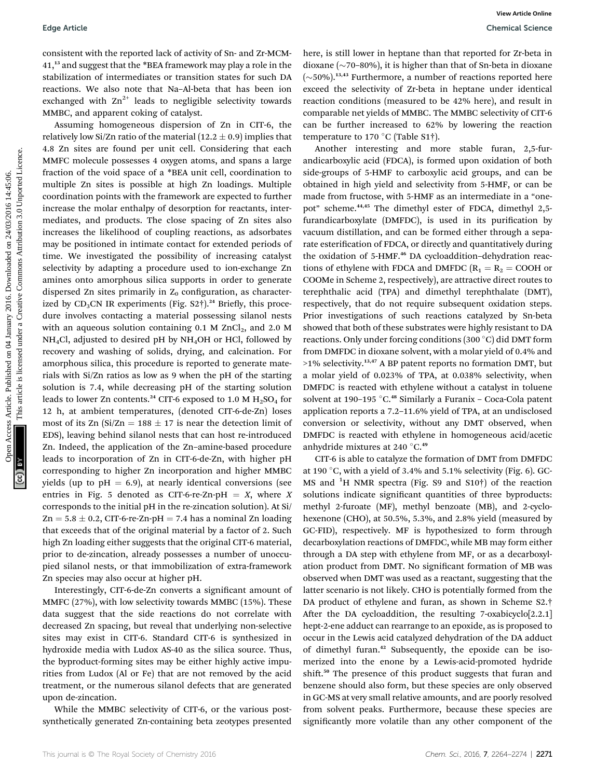consistent with the reported lack of activity of Sn- and Zr-MCM-41,<sup>13</sup> and suggest that the \*BEA framework may play a role in the stabilization of intermediates or transition states for such DA reactions. We also note that Na–Al-beta that has been ion exchanged with  $Zn^{2+}$  leads to negligible selectivity towards MMBC, and apparent coking of catalyst.

Assuming homogeneous dispersion of Zn in CIT-6, the relatively low Si/Zn ratio of the material (12.2  $\pm$  0.9) implies that 4.8 Zn sites are found per unit cell. Considering that each MMFC molecule possesses 4 oxygen atoms, and spans a large fraction of the void space of a \*BEA unit cell, coordination to multiple Zn sites is possible at high Zn loadings. Multiple coordination points with the framework are expected to further increase the molar enthalpy of desorption for reactants, intermediates, and products. The close spacing of Zn sites also increases the likelihood of coupling reactions, as adsorbates may be positioned in intimate contact for extended periods of time. We investigated the possibility of increasing catalyst selectivity by adapting a procedure used to ion-exchange Zn amines onto amorphous silica supports in order to generate dispersed Zn sites primarily in  $Z_0$  configuration, as characterized by  $CD_3CN$  IR experiments (Fig. S2 $\dagger$ ).<sup>24</sup> Briefly, this procedure involves contacting a material possessing silanol nests with an aqueous solution containing  $0.1$  M ZnCl<sub>2</sub>, and  $2.0$  M NH4Cl, adjusted to desired pH by NH4OH or HCl, followed by recovery and washing of solids, drying, and calcination. For amorphous silica, this procedure is reported to generate materials with Si/Zn ratios as low as 9 when the pH of the starting solution is 7.4, while decreasing pH of the starting solution leads to lower Zn contents.<sup>24</sup> CIT-6 exposed to 1.0 M  $H<sub>2</sub>SO<sub>4</sub>$  for 12 h, at ambient temperatures, (denoted CIT-6-de-Zn) loses most of its Zn (Si/Zn = 188  $\pm$  17 is near the detection limit of EDS), leaving behind silanol nests that can host re-introduced Zn. Indeed, the application of the Zn–amine-based procedure leads to incorporation of Zn in CIT-6-de-Zn, with higher pH corresponding to higher Zn incorporation and higher MMBC yields (up to  $pH = 6.9$ ), at nearly identical conversions (see entries in Fig. 5 denoted as CIT-6-re-Zn-pH =  $X$ , where  $X$ corresponds to the initial pH in the re-zincation solution). At Si/  $Zn = 5.8 \pm 0.2$ , CIT-6-re-Zn-pH = 7.4 has a nominal Zn loading that exceeds that of the original material by a factor of 2. Such high Zn loading either suggests that the original CIT-6 material, prior to de-zincation, already possesses a number of unoccupied silanol nests, or that immobilization of extra-framework Zn species may also occur at higher pH. Edge Article<br>
consistent with the pure of furthermore mythes and 2.44CM-<br>
Article of furthermore mythes are commonly are consistent of the second of the furthermore and the methods of the second<br>
methods are the methods ar

Interestingly, CIT-6-de-Zn converts a signicant amount of MMFC (27%), with low selectivity towards MMBC (15%). These data suggest that the side reactions do not correlate with decreased Zn spacing, but reveal that underlying non-selective sites may exist in CIT-6. Standard CIT-6 is synthesized in hydroxide media with Ludox AS-40 as the silica source. Thus, the byproduct-forming sites may be either highly active impurities from Ludox (Al or Fe) that are not removed by the acid treatment, or the numerous silanol defects that are generated upon de-zincation.

While the MMBC selectivity of CIT-6, or the various postsynthetically generated Zn-containing beta zeotypes presented

here, is still lower in heptane than that reported for Zr-beta in dioxane ( $\sim$ 70–80%), it is higher than that of Sn-beta in dioxane  $(\sim]50\%$ ).<sup>13,43</sup> Furthermore, a number of reactions reported here exceed the selectivity of Zr-beta in heptane under identical reaction conditions (measured to be 42% here), and result in comparable net yields of MMBC. The MMBC selectivity of CIT-6 can be further increased to 62% by lowering the reaction temperature to 170  $^{\circ}$ C (Table S1†).

Another interesting and more stable furan, 2,5-furandicarboxylic acid (FDCA), is formed upon oxidation of both side-groups of 5-HMF to carboxylic acid groups, and can be obtained in high yield and selectivity from 5-HMF, or can be made from fructose, with 5-HMF as an intermediate in a "onepot" scheme.44,45 The dimethyl ester of FDCA, dimethyl 2,5 furandicarboxylate (DMFDC), is used in its purification by vacuum distillation, and can be formed either through a separate esterification of FDCA, or directly and quantitatively during the oxidation of 5-HMF.<sup>46</sup> DA cycloaddition-dehydration reactions of ethylene with FDCA and DMFDC  $(R_1 = R_2 = \text{COOH or})$ COOMe in Scheme 2, respectively), are attractive direct routes to terephthalic acid (TPA) and dimethyl terephthalate (DMT), respectively, that do not require subsequent oxidation steps. Prior investigations of such reactions catalyzed by Sn-beta showed that both of these substrates were highly resistant to DA reactions. Only under forcing conditions (300 °C) did DMT form from DMFDC in dioxane solvent, with a molar yield of 0.4% and >1% selectivity.13,47 A BP patent reports no formation DMT, but a molar yield of 0.023% of TPA, at 0.038% selectivity, when DMFDC is reacted with ethylene without a catalyst in toluene solvent at 190-195 °C.<sup>48</sup> Similarly a Furanix - Coca-Cola patent application reports a 7.2–11.6% yield of TPA, at an undisclosed conversion or selectivity, without any DMT observed, when DMFDC is reacted with ethylene in homogeneous acid/acetic anhydride mixtures at 240 $\degree$ C.<sup>49</sup>

CIT-6 is able to catalyze the formation of DMT from DMFDC at 190 $\degree$ C, with a yield of 3.4% and 5.1% selectivity (Fig. 6). GC-MS and <sup>1</sup> H NMR spectra (Fig. S9 and S10†) of the reaction solutions indicate significant quantities of three byproducts: methyl 2-furoate (MF), methyl benzoate (MB), and 2-cyclohexenone (CHO), at 50.5%, 5.3%, and 2.8% yield (measured by GC-FID), respectively. MF is hypothesized to form through decarboxylation reactions of DMFDC, while MB may form either through a DA step with ethylene from MF, or as a decarboxylation product from DMT. No significant formation of MB was observed when DMT was used as a reactant, suggesting that the latter scenario is not likely. CHO is potentially formed from the DA product of ethylene and furan, as shown in Scheme S2.† After the DA cycloaddition, the resulting 7-oxabicyclo $[2.2.1]$ hept-2-ene adduct can rearrange to an epoxide, as is proposed to occur in the Lewis acid catalyzed dehydration of the DA adduct of dimethyl furan.<sup>42</sup> Subsequently, the epoxide can be isomerized into the enone by a Lewis-acid-promoted hydride shift.<sup>50</sup> The presence of this product suggests that furan and benzene should also form, but these species are only observed in GC-MS at very small relative amounts, and are poorly resolved from solvent peaks. Furthermore, because these species are significantly more volatile than any other component of the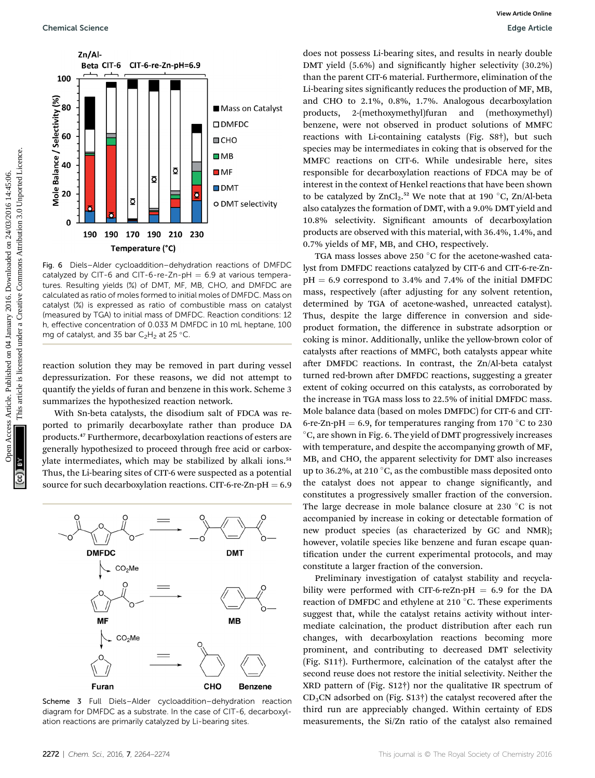

Fig. 6 Diels–Alder cycloaddition–dehydration reactions of DMFDC catalyzed by CIT-6 and CIT-6-re-Zn-pH  $= 6.9$  at various temperatures. Resulting yields (%) of DMT, MF, MB, CHO, and DMFDC are calculated as ratio of moles formed to initial moles of DMFDC. Mass on catalyst (%) is expressed as ratio of combustible mass on catalyst (measured by TGA) to initial mass of DMFDC. Reaction conditions: 12 h, effective concentration of 0.033 M DMFDC in 10 mL heptane, 100 mg of catalyst, and 35 bar  $C_2H_2$  at 25 °C.

reaction solution they may be removed in part during vessel depressurization. For these reasons, we did not attempt to quantify the yields of furan and benzene in this work. Scheme 3 summarizes the hypothesized reaction network.

With Sn-beta catalysts, the disodium salt of FDCA was reported to primarily decarboxylate rather than produce DA products.<sup>47</sup> Furthermore, decarboxylation reactions of esters are generally hypothesized to proceed through free acid or carboxylate intermediates, which may be stabilized by alkali ions.<sup>51</sup> Thus, the Li-bearing sites of CIT-6 were suspected as a potential source for such decarboxylation reactions. CIT-6-re-Zn-pH  $= 6.9$ 



Scheme 3 Full Diels–Alder cycloaddition–dehydration reaction diagram for DMFDC as a substrate. In the case of CIT-6, decarboxylation reactions are primarily catalyzed by Li-bearing sites.

does not possess Li-bearing sites, and results in nearly double DMT yield (5.6%) and significantly higher selectivity (30.2%) than the parent CIT-6 material. Furthermore, elimination of the Li-bearing sites significantly reduces the production of MF, MB, and CHO to 2.1%, 0.8%, 1.7%. Analogous decarboxylation products, 2-(methoxymethyl)furan and (methoxymethyl) benzene, were not observed in product solutions of MMFC reactions with Li-containing catalysts (Fig. S8†), but such species may be intermediates in coking that is observed for the MMFC reactions on CIT-6. While undesirable here, sites responsible for decarboxylation reactions of FDCA may be of interest in the context of Henkel reactions that have been shown to be catalyzed by  $ZnCl_2$ .<sup>52</sup> We note that at 190 °C, Zn/Al-beta also catalyzes the formation of DMT, with a 9.0% DMT yield and 10.8% selectivity. Significant amounts of decarboxylation products are observed with this material, with 36.4%, 1.4%, and 0.7% yields of MF, MB, and CHO, respectively.

TGA mass losses above 250  $\degree$ C for the acetone-washed catalyst from DMFDC reactions catalyzed by CIT-6 and CIT-6-re-Zn $pH = 6.9$  correspond to 3.4% and 7.4% of the initial DMFDC mass, respectively (after adjusting for any solvent retention, determined by TGA of acetone-washed, unreacted catalyst). Thus, despite the large difference in conversion and sideproduct formation, the difference in substrate adsorption or coking is minor. Additionally, unlike the yellow-brown color of catalysts after reactions of MMFC, both catalysts appear white after DMFDC reactions. In contrast, the Zn/Al-beta catalyst turned red-brown after DMFDC reactions, suggesting a greater extent of coking occurred on this catalysts, as corroborated by the increase in TGA mass loss to 22.5% of initial DMFDC mass. Mole balance data (based on moles DMFDC) for CIT-6 and CIT-6-re-Zn-pH = 6.9, for temperatures ranging from 170 °C to 230 C, are shown in Fig. 6. The yield of DMT progressively increases with temperature, and despite the accompanying growth of MF, MB, and CHO, the apparent selectivity for DMT also increases up to 36.2%, at 210  $\degree$ C, as the combustible mass deposited onto the catalyst does not appear to change significantly, and constitutes a progressively smaller fraction of the conversion. The large decrease in mole balance closure at 230  $\degree$ C is not accompanied by increase in coking or detectable formation of new product species (as characterized by GC and NMR); however, volatile species like benzene and furan escape quantification under the current experimental protocols, and may constitute a larger fraction of the conversion.

Preliminary investigation of catalyst stability and recyclability were performed with CIT-6-reZn-pH  $= 6.9$  for the DA reaction of DMFDC and ethylene at 210 °C. These experiments suggest that, while the catalyst retains activity without intermediate calcination, the product distribution after each run changes, with decarboxylation reactions becoming more prominent, and contributing to decreased DMT selectivity (Fig.  $S11\dagger$ ). Furthermore, calcination of the catalyst after the second reuse does not restore the initial selectivity. Neither the XRD pattern of (Fig. S12†) nor the qualitative IR spectrum of  $CD<sub>3</sub>CN$  adsorbed on (Fig. S13†) the catalyst recovered after the third run are appreciably changed. Within certainty of EDS measurements, the Si/Zn ratio of the catalyst also remained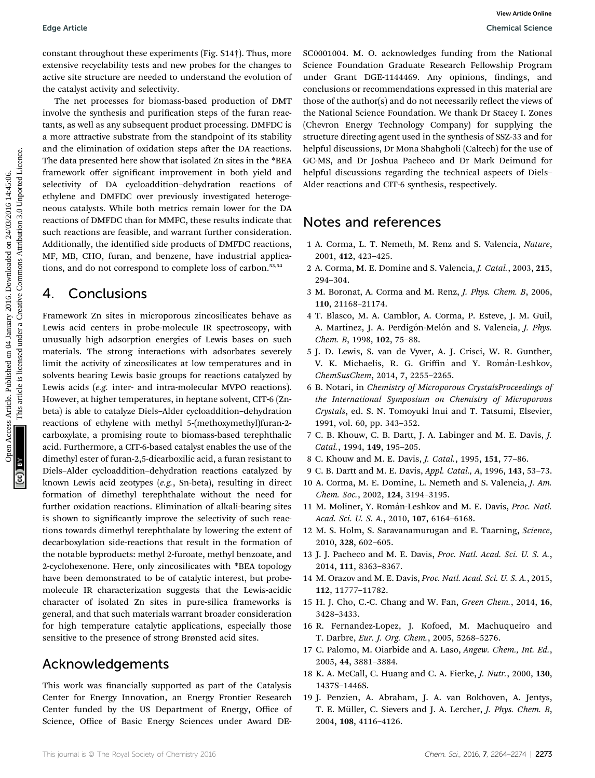constant throughout these experiments (Fig. S14†). Thus, more extensive recyclability tests and new probes for the changes to active site structure are needed to understand the evolution of the catalyst activity and selectivity.

The net processes for biomass-based production of DMT involve the synthesis and purification steps of the furan reactants, as well as any subsequent product processing. DMFDC is a more attractive substrate from the standpoint of its stability and the elimination of oxidation steps after the DA reactions. The data presented here show that isolated Zn sites in the \*BEA framework offer significant improvement in both yield and selectivity of DA cycloaddition–dehydration reactions of ethylene and DMFDC over previously investigated heterogeneous catalysts. While both metrics remain lower for the DA reactions of DMFDC than for MMFC, these results indicate that such reactions are feasible, and warrant further consideration. Additionally, the identified side products of DMFDC reactions, MF, MB, CHO, furan, and benzene, have industrial applications, and do not correspond to complete loss of carbon.<sup>53,54</sup> Edge Article<br>
constant illusions are one proposes for the change on Science Foundations Creative Registration<br>
consider expectively and a selectively velocity of the common of considerations are common and the selectively

## 4. Conclusions

Framework Zn sites in microporous zincosilicates behave as Lewis acid centers in probe-molecule IR spectroscopy, with unusually high adsorption energies of Lewis bases on such materials. The strong interactions with adsorbates severely limit the activity of zincosilicates at low temperatures and in solvents bearing Lewis basic groups for reactions catalyzed by Lewis acids (e.g. inter- and intra-molecular MVPO reactions). However, at higher temperatures, in heptane solvent, CIT-6 (Znbeta) is able to catalyze Diels–Alder cycloaddition–dehydration reactions of ethylene with methyl 5-(methoxymethyl)furan-2 carboxylate, a promising route to biomass-based terephthalic acid. Furthermore, a CIT-6-based catalyst enables the use of the dimethyl ester of furan-2,5-dicarboxilic acid, a furan resistant to Diels–Alder cycloaddition–dehydration reactions catalyzed by known Lewis acid zeotypes (e.g., Sn-beta), resulting in direct formation of dimethyl terephthalate without the need for further oxidation reactions. Elimination of alkali-bearing sites is shown to significantly improve the selectivity of such reactions towards dimethyl terephthalate by lowering the extent of decarboxylation side-reactions that result in the formation of the notable byproducts: methyl 2-furoate, methyl benzoate, and 2-cyclohexenone. Here, only zincosilicates with \*BEA topology have been demonstrated to be of catalytic interest, but probemolecule IR characterization suggests that the Lewis-acidic character of isolated Zn sites in pure-silica frameworks is general, and that such materials warrant broader consideration for high temperature catalytic applications, especially those sensitive to the presence of strong Brønsted acid sites.

## Acknowledgements

This work was financially supported as part of the Catalysis Center for Energy Innovation, an Energy Frontier Research Center funded by the US Department of Energy, Office of Science, Office of Basic Energy Sciences under Award DE-

SC0001004. M. O. acknowledges funding from the National Science Foundation Graduate Research Fellowship Program under Grant DGE-1144469. Any opinions, findings, and conclusions or recommendations expressed in this material are those of the author(s) and do not necessarily reflect the views of the National Science Foundation. We thank Dr Stacey I. Zones (Chevron Energy Technology Company) for supplying the structure directing agent used in the synthesis of SSZ-33 and for helpful discussions, Dr Mona Shahgholi (Caltech) for the use of GC-MS, and Dr Joshua Pacheco and Dr Mark Deimund for helpful discussions regarding the technical aspects of Diels– Alder reactions and CIT-6 synthesis, respectively.

## Notes and references

- 1 A. Corma, L. T. Nemeth, M. Renz and S. Valencia, Nature, 2001, 412, 423–425.
- 2 A. Corma, M. E. Domine and S. Valencia, J. Catal., 2003, 215, 294–304.
- 3 M. Boronat, A. Corma and M. Renz, J. Phys. Chem. B, 2006, 110, 21168–21174.
- 4 T. Blasco, M. A. Camblor, A. Corma, P. Esteve, J. M. Guil, A. Martínez, J. A. Perdigón-Melón and S. Valencia, J. Phys. Chem. B, 1998, 102, 75–88.
- 5 J. D. Lewis, S. van de Vyver, A. J. Crisci, W. R. Gunther, V. K. Michaelis, R. G. Griffin and Y. Román-Leshkov, ChemSusChem, 2014, 7, 2255–2265.
- 6 B. Notari, in Chemistry of Microporous CrystalsProceedings of the International Symposium on Chemistry of Microporous Crystals, ed. S. N. Tomoyuki lnui and T. Tatsumi, Elsevier, 1991, vol. 60, pp. 343–352.
- 7 C. B. Khouw, C. B. Dartt, J. A. Labinger and M. E. Davis, J. Catal., 1994, 149, 195–205.
- 8 C. Khouw and M. E. Davis, J. Catal., 1995, 151, 77–86.
- 9 C. B. Dartt and M. E. Davis, Appl. Catal., A, 1996, 143, 53–73.
- 10 A. Corma, M. E. Domine, L. Nemeth and S. Valencia, J. Am. Chem. Soc., 2002, 124, 3194–3195.
- 11 M. Moliner, Y. Román-Leshkov and M. E. Davis, Proc. Natl. Acad. Sci. U. S. A., 2010, 107, 6164–6168.
- 12 M. S. Holm, S. Saravanamurugan and E. Taarning, Science, 2010, 328, 602–605.
- 13 J. J. Pacheco and M. E. Davis, Proc. Natl. Acad. Sci. U. S. A., 2014, 111, 8363–8367.
- 14 M. Orazov and M. E. Davis, Proc. Natl. Acad. Sci. U. S. A., 2015, 112, 11777–11782.
- 15 H. J. Cho, C.-C. Chang and W. Fan, Green Chem., 2014, 16, 3428–3433.
- 16 R. Fernandez-Lopez, J. Kofoed, M. Machuqueiro and T. Darbre, Eur. J. Org. Chem., 2005, 5268–5276.
- 17 C. Palomo, M. Oiarbide and A. Laso, Angew. Chem., Int. Ed., 2005, 44, 3881–3884.
- 18 K. A. McCall, C. Huang and C. A. Fierke, J. Nutr., 2000, 130, 1437S–1446S.
- 19 J. Penzien, A. Abraham, J. A. van Bokhoven, A. Jentys, T. E. Müller, C. Sievers and J. A. Lercher, J. Phys. Chem. B, 2004, 108, 4116–4126.